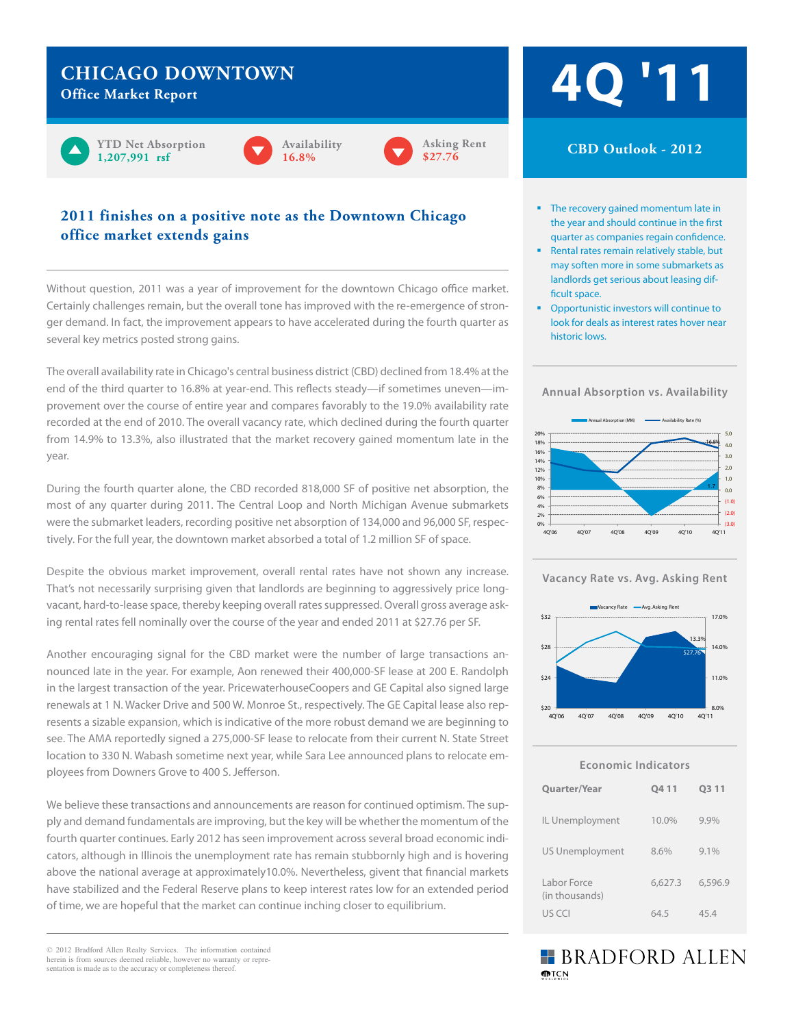## **Chicago Downtown**

**Office Market Report**





#### **2011 finishes on a positive note as the Downtown Chicago office market extends gains**

Without question, 2011 was a year of improvement for the downtown Chicago office market. Certainly challenges remain, but the overall tone has improved with the re-emergence of stronger demand. In fact, the improvement appears to have accelerated during the fourth quarter as several key metrics posted strong gains.

The overall availability rate in Chicago's central business district (CBD) declined from 18.4% at the end of the third quarter to 16.8% at year-end. This reflects steady—if sometimes uneven—improvement over the course of entire year and compares favorably to the 19.0% availability rate recorded at the end of 2010. The overall vacancy rate, which declined during the fourth quarter from 14.9% to 13.3%, also illustrated that the market recovery gained momentum late in the year.

During the fourth quarter alone, the CBD recorded 818,000 SF of positive net absorption, the most of any quarter during 2011. The Central Loop and North Michigan Avenue submarkets were the submarket leaders, recording positive net absorption of 134,000 and 96,000 SF, respectively. For the full year, the downtown market absorbed a total of 1.2 million SF of space.

Despite the obvious market improvement, overall rental rates have not shown any increase. That's not necessarily surprising given that landlords are beginning to aggressively price longvacant, hard-to-lease space, thereby keeping overall rates suppressed. Overall gross average asking rental rates fell nominally over the course of the year and ended 2011 at \$27.76 per SF.

Another encouraging signal for the CBD market were the number of large transactions announced late in the year. For example, Aon renewed their 400,000-SF lease at 200 E. Randolph in the largest transaction of the year. PricewaterhouseCoopers and GE Capital also signed large renewals at 1 N. Wacker Drive and 500 W. Monroe St., respectively. The GE Capital lease also represents a sizable expansion, which is indicative of the more robust demand we are beginning to see. The AMA reportedly signed a 275,000-SF lease to relocate from their current N. State Street location to 330 N. Wabash sometime next year, while Sara Lee announced plans to relocate employees from Downers Grove to 400 S. Jefferson.

We believe these transactions and announcements are reason for continued optimism. The supply and demand fundamentals are improving, but the key will be whether the momentum of the fourth quarter continues. Early 2012 has seen improvement across several broad economic indicators, although in Illinois the unemployment rate has remain stubbornly high and is hovering above the national average at approximately10.0%. Nevertheless, givent that financial markets have stabilized and the Federal Reserve plans to keep interest rates low for an extended period of time, we are hopeful that the market can continue inching closer to equilibrium.

© 2012 Bradford Allen Realty Services. The information contained herein is from sources deemed reliable, however no warranty or representation is made as to the accuracy or completeness thereof.

# **4Q '11**

## **CBD Outlook - 2011 CBD Outlook - 2012**

- The recovery gained momentum late in the year and should continue in the first quarter as companies regain confidence.
- Rental rates remain relatively stable, but may soften more in some submarkets as landlords get serious about leasing difficult space.
- **Downtown Chicago Chicago Chicago Chicago Chicago Chicago Chicago Chicago Chicago Chicago Chicago Chicago Chicago •** Opportunistic investors will continue to look for deals as interest rates hover near

**Annual Absorption vs. Availability**







| Economic Indicators           |             |         |  |  |  |
|-------------------------------|-------------|---------|--|--|--|
| <b>Quarter/Year</b>           | <b>Q411</b> | 03 11   |  |  |  |
| IL Unemployment               | 10.0%       | 9.9%    |  |  |  |
| <b>US Unemployment</b>        | 8.6%        | $9.1\%$ |  |  |  |
| Labor Force<br>(in thousands) | 6,627.3     | 6,596.9 |  |  |  |
| US CCI                        | 64.5        | 45.4    |  |  |  |

## **BRADFORD ALLEN MPTCN**